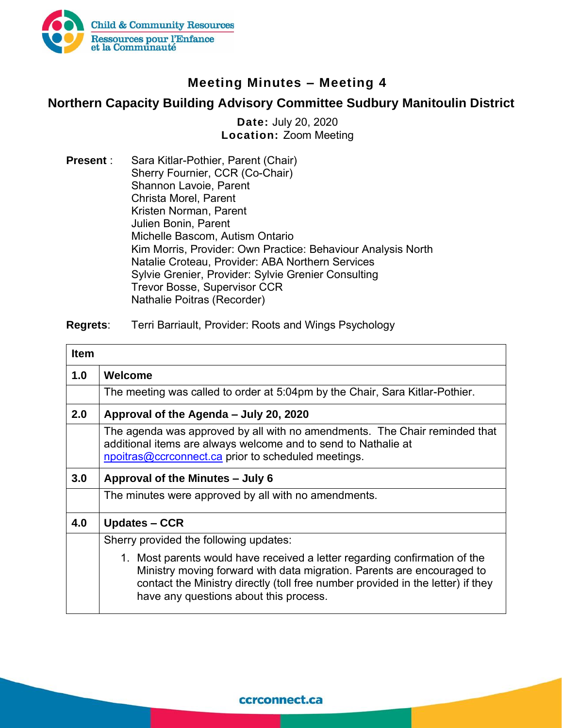

## **Meeting Minutes – Meeting 4**

## **Northern Capacity Building Advisory Committee Sudbury Manitoulin District**

**Date:** July 20, 2020 **Location:** Zoom Meeting

**Present** : Sara Kitlar-Pothier, Parent (Chair) Sherry Fournier, CCR (Co-Chair) Shannon Lavoie, Parent Christa Morel, Parent Kristen Norman, Parent Julien Bonin, Parent Michelle Bascom, Autism Ontario Kim Morris, Provider: Own Practice: Behaviour Analysis North Natalie Croteau, Provider: ABA Northern Services Sylvie Grenier, Provider: Sylvie Grenier Consulting Trevor Bosse, Supervisor CCR Nathalie Poitras (Recorder)

**Regrets**: Terri Barriault, Provider: Roots and Wings Psychology

| <b>Item</b> |                                                                                                                                                                                                                                                                                   |
|-------------|-----------------------------------------------------------------------------------------------------------------------------------------------------------------------------------------------------------------------------------------------------------------------------------|
| 1.0         | Welcome                                                                                                                                                                                                                                                                           |
|             | The meeting was called to order at 5:04pm by the Chair, Sara Kitlar-Pothier.                                                                                                                                                                                                      |
| 2.0         | Approval of the Agenda – July 20, 2020                                                                                                                                                                                                                                            |
|             | The agenda was approved by all with no amendments. The Chair reminded that<br>additional items are always welcome and to send to Nathalie at<br>npoitras@ccrconnect.ca prior to scheduled meetings.                                                                               |
| 3.0         | Approval of the Minutes – July 6                                                                                                                                                                                                                                                  |
|             | The minutes were approved by all with no amendments.                                                                                                                                                                                                                              |
| 4.0         | <b>Updates – CCR</b>                                                                                                                                                                                                                                                              |
|             | Sherry provided the following updates:                                                                                                                                                                                                                                            |
|             | 1. Most parents would have received a letter regarding confirmation of the<br>Ministry moving forward with data migration. Parents are encouraged to<br>contact the Ministry directly (toll free number provided in the letter) if they<br>have any questions about this process. |

ccrconnect.ca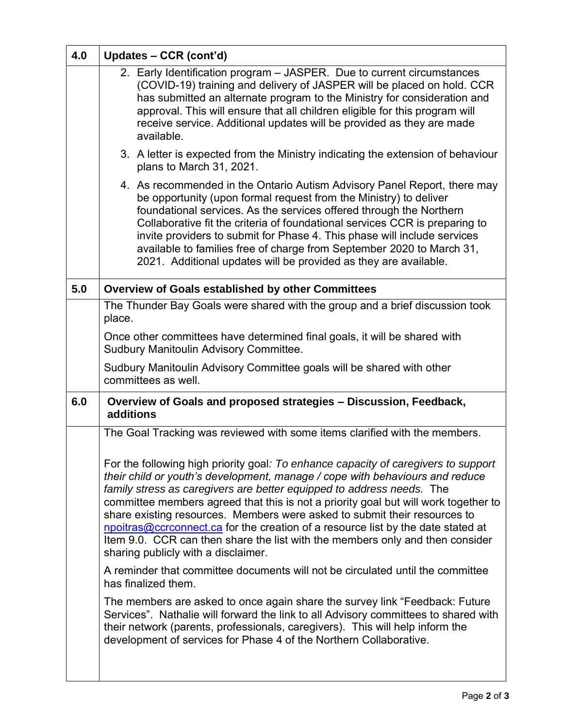| 4.0 | Updates - CCR (cont'd)                                                                                                                                                                                                                                                                                                                                                                                                                                                                                                                                                                                                      |
|-----|-----------------------------------------------------------------------------------------------------------------------------------------------------------------------------------------------------------------------------------------------------------------------------------------------------------------------------------------------------------------------------------------------------------------------------------------------------------------------------------------------------------------------------------------------------------------------------------------------------------------------------|
|     | 2. Early Identification program - JASPER. Due to current circumstances<br>(COVID-19) training and delivery of JASPER will be placed on hold. CCR<br>has submitted an alternate program to the Ministry for consideration and<br>approval. This will ensure that all children eligible for this program will<br>receive service. Additional updates will be provided as they are made<br>available.                                                                                                                                                                                                                          |
|     | 3. A letter is expected from the Ministry indicating the extension of behaviour<br>plans to March 31, 2021.                                                                                                                                                                                                                                                                                                                                                                                                                                                                                                                 |
|     | 4. As recommended in the Ontario Autism Advisory Panel Report, there may<br>be opportunity (upon formal request from the Ministry) to deliver<br>foundational services. As the services offered through the Northern<br>Collaborative fit the criteria of foundational services CCR is preparing to<br>invite providers to submit for Phase 4. This phase will include services<br>available to families free of charge from September 2020 to March 31,<br>2021. Additional updates will be provided as they are available.                                                                                                |
| 5.0 | Overview of Goals established by other Committees                                                                                                                                                                                                                                                                                                                                                                                                                                                                                                                                                                           |
|     | The Thunder Bay Goals were shared with the group and a brief discussion took<br>place.                                                                                                                                                                                                                                                                                                                                                                                                                                                                                                                                      |
|     | Once other committees have determined final goals, it will be shared with<br>Sudbury Manitoulin Advisory Committee.                                                                                                                                                                                                                                                                                                                                                                                                                                                                                                         |
|     | Sudbury Manitoulin Advisory Committee goals will be shared with other<br>committees as well.                                                                                                                                                                                                                                                                                                                                                                                                                                                                                                                                |
| 6.0 | Overview of Goals and proposed strategies - Discussion, Feedback,<br>additions                                                                                                                                                                                                                                                                                                                                                                                                                                                                                                                                              |
|     | The Goal Tracking was reviewed with some items clarified with the members.                                                                                                                                                                                                                                                                                                                                                                                                                                                                                                                                                  |
|     | For the following high priority goal: To enhance capacity of caregivers to support<br>their child or youth's development, manage / cope with behaviours and reduce<br>family stress as caregivers are better equipped to address needs. The<br>committee members agreed that this is not a priority goal but will work together to<br>share existing resources. Members were asked to submit their resources to<br>npoitras@ccrconnect.ca for the creation of a resource list by the date stated at<br>Item 9.0. CCR can then share the list with the members only and then consider<br>sharing publicly with a disclaimer. |
|     | A reminder that committee documents will not be circulated until the committee<br>has finalized them.                                                                                                                                                                                                                                                                                                                                                                                                                                                                                                                       |
|     | The members are asked to once again share the survey link "Feedback: Future<br>Services". Nathalie will forward the link to all Advisory committees to shared with<br>their network (parents, professionals, caregivers). This will help inform the<br>development of services for Phase 4 of the Northern Collaborative.                                                                                                                                                                                                                                                                                                   |
|     |                                                                                                                                                                                                                                                                                                                                                                                                                                                                                                                                                                                                                             |